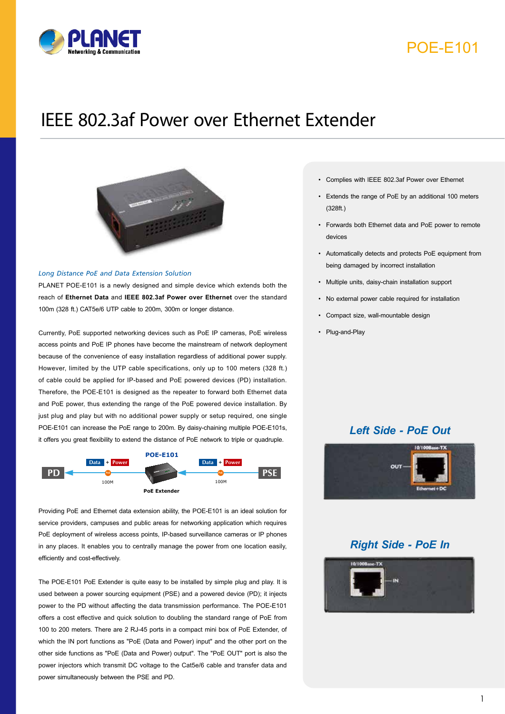

## POE-E101

# IEEE 802.3af Power over Ethernet Extender



### *Long Distance PoE and Data Extension Solution*

PLANET POE-E101 is a newly designed and simple device which extends both the reach of **Ethernet Data** and **IEEE 802.3af Power over Ethernet** over the standard 100m (328 ft.) CAT5e/6 UTP cable to 200m, 300m or longer distance.

Currently, PoE supported networking devices such as PoE IP cameras, PoE wireless access points and PoE IP phones have become the mainstream of network deployment because of the convenience of easy installation regardless of additional power supply. However, limited by the UTP cable specifications, only up to 100 meters (328 ft.) of cable could be applied for IP-based and PoE powered devices (PD) installation. Therefore, the POE-E101 is designed as the repeater to forward both Ethernet data and PoE power, thus extending the range of the PoE powered device installation. By just plug and play but with no additional power supply or setup required, one single POE-E101 can increase the PoE range to 200m. By daisy-chaining multiple POE-E101s, it offers you great flexibility to extend the distance of PoE network to triple or quadruple.



Providing PoE and Ethernet data extension ability, the POE-E101 is an ideal solution for service providers, campuses and public areas for networking application which requires PoE deployment of wireless access points, IP-based surveillance cameras or IP phones in any places. It enables you to centrally manage the power from one location easily, efficiently and cost-effectively.

power simultaneously between the PSE and PD. The POE-E101 PoE Extender is quite easy to be installed by simple plug and play. It is used between a power sourcing equipment (PSE) and a powered device (PD); it injects power to the PD without affecting the data transmission performance. The POE-E101 offers a cost effective and quick solution to doubling the standard range of PoE from 100 to 200 meters. There are 2 RJ-45 ports in a compact mini box of PoE Extender, of which the IN port functions as "PoE (Data and Power) input" and the other port on the other side functions as "PoE (Data and Power) output". The "PoE OUT" port is also the power injectors which transmit DC voltage to the Cat5e/6 cable and transfer data and

- Complies with IEEE 802.3af Power over Ethernet
- Extends the range of PoE by an additional 100 meters (328ft.)
- Forwards both Ethernet data and PoE power to remote devices
- Automatically detects and protects PoE equipment from being damaged by incorrect installation
- Multiple units, daisy-chain installation support
- No external power cable required for installation
- Compact size, wall-mountable design
- Plug-and-Play

## *Left Side - PoE Out*



## *Right Side - PoE In*

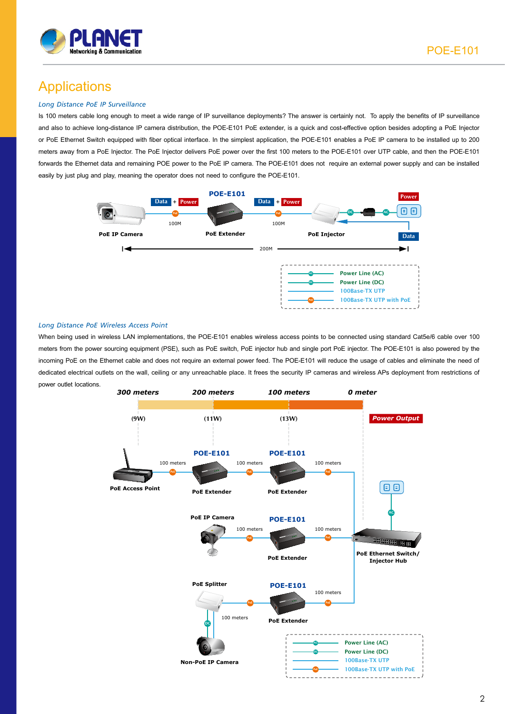

# **Applications**

### *Long Distance PoE IP Surveillance*

Is 100 meters cable long enough to meet a wide range of IP surveillance deployments? The answer is certainly not. To apply the benefits of IP surveillance and also to achieve long-distance IP camera distribution, the POE-E101 PoE extender, is a quick and cost-effective option besides adopting a PoE Injector or PoE Ethernet Switch equipped with fiber optical interface. In the simplest application, the POE-E101 enables a PoE IP camera to be installed up to 200 meters away from a PoE Injector. The PoE Injector delivers PoE power over the first 100 meters to the POE-E101 over UTP cable, and then the POE-E101 forwards the Ethernet data and remaining POE power to the PoE IP camera. The POE-E101 does not require an external power supply and can be installed easily by just plug and play, meaning the operator does not need to configure the POE-E101.



#### *Long Distance PoE Wireless Access Point*

When being used in wireless LAN implementations, the POE-E101 enables wireless access points to be connected using standard Cat5e/6 cable over 100 meters from the power sourcing equipment (PSE), such as PoE switch, PoE injector hub and single port PoE injector. The POE-E101 is also powered by the incoming PoE on the Ethernet cable and does not require an external power feed. The POE-E101 will reduce the usage of cables and eliminate the need of dedicated electrical outlets on the wall, ceiling or any unreachable place. It frees the security IP cameras and wireless APs deployment from restrictions of power outlet locations.

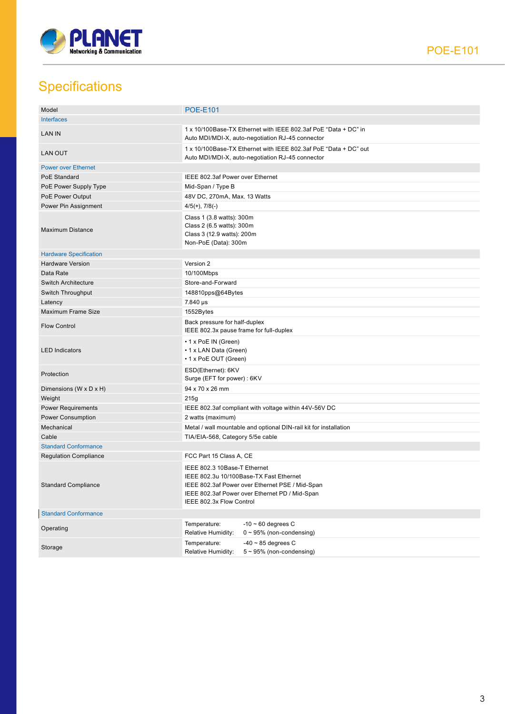

# **Specifications**

| Model                         | <b>POE-E101</b>                                                                                                                                                                                          |  |
|-------------------------------|----------------------------------------------------------------------------------------------------------------------------------------------------------------------------------------------------------|--|
| Interfaces                    |                                                                                                                                                                                                          |  |
| <b>LAN IN</b>                 | 1 x 10/100Base-TX Ethernet with IEEE 802.3af PoE "Data + DC" in<br>Auto MDI/MDI-X, auto-negotiation RJ-45 connector                                                                                      |  |
| <b>LAN OUT</b>                | 1 x 10/100Base-TX Ethernet with IEEE 802.3af PoE "Data + DC" out<br>Auto MDI/MDI-X, auto-negotiation RJ-45 connector                                                                                     |  |
| <b>Power over Ethernet</b>    |                                                                                                                                                                                                          |  |
| PoE Standard                  | IEEE 802.3af Power over Ethernet                                                                                                                                                                         |  |
| PoE Power Supply Type         | Mid-Span / Type B                                                                                                                                                                                        |  |
| PoE Power Output              | 48V DC, 270mA, Max. 13 Watts                                                                                                                                                                             |  |
| Power Pin Assignment          | $4/5(+)$ , $7/8(-)$                                                                                                                                                                                      |  |
| <b>Maximum Distance</b>       | Class 1 (3.8 watts): 300m<br>Class 2 (6.5 watts): 300m<br>Class 3 (12.9 watts): 200m<br>Non-PoE (Data): 300m                                                                                             |  |
| <b>Hardware Specification</b> |                                                                                                                                                                                                          |  |
| <b>Hardware Version</b>       | Version 2                                                                                                                                                                                                |  |
| Data Rate                     | 10/100Mbps                                                                                                                                                                                               |  |
| <b>Switch Architecture</b>    | Store-and-Forward                                                                                                                                                                                        |  |
| Switch Throughput             | 148810pps@64Bytes                                                                                                                                                                                        |  |
| Latency                       | 7.840 µs                                                                                                                                                                                                 |  |
| Maximum Frame Size            | 1552Bytes                                                                                                                                                                                                |  |
| <b>Flow Control</b>           | Back pressure for half-duplex<br>IEEE 802.3x pause frame for full-duplex                                                                                                                                 |  |
| <b>LED Indicators</b>         | • 1 x PoE IN (Green)<br>• 1 x LAN Data (Green)<br>• 1 x PoE OUT (Green)                                                                                                                                  |  |
| Protection                    | ESD(Ethernet): 6KV<br>Surge (EFT for power): 6KV                                                                                                                                                         |  |
| Dimensions (W x D x H)        | 94 x 70 x 26 mm                                                                                                                                                                                          |  |
| Weight                        | 215g                                                                                                                                                                                                     |  |
| <b>Power Requirements</b>     | IEEE 802.3af compliant with voltage within 44V-56V DC                                                                                                                                                    |  |
| <b>Power Consumption</b>      | 2 watts (maximum)                                                                                                                                                                                        |  |
| Mechanical                    | Metal / wall mountable and optional DIN-rail kit for installation                                                                                                                                        |  |
| Cable                         | TIA/EIA-568, Category 5/5e cable                                                                                                                                                                         |  |
| <b>Standard Conformance</b>   |                                                                                                                                                                                                          |  |
| <b>Regulation Compliance</b>  | FCC Part 15 Class A, CE                                                                                                                                                                                  |  |
| <b>Standard Compliance</b>    | IEEE 802.3 10Base-T Ethernet<br>IEEE 802.3u 10/100Base-TX Fast Ethernet<br>IEEE 802.3af Power over Ethernet PSE / Mid-Span<br>IEEE 802.3af Power over Ethernet PD / Mid-Span<br>IEEE 802.3x Flow Control |  |
| <b>Standard Conformance</b>   |                                                                                                                                                                                                          |  |
| Operating                     | $-10 \sim 60$ degrees C<br>Temperature:<br>Relative Humidity:<br>$0 \sim 95\%$ (non-condensing)                                                                                                          |  |
| Storage                       | $-40 \sim 85$ degrees C<br>Temperature:<br>$5 \sim 95\%$ (non-condensing)<br>Relative Humidity:                                                                                                          |  |